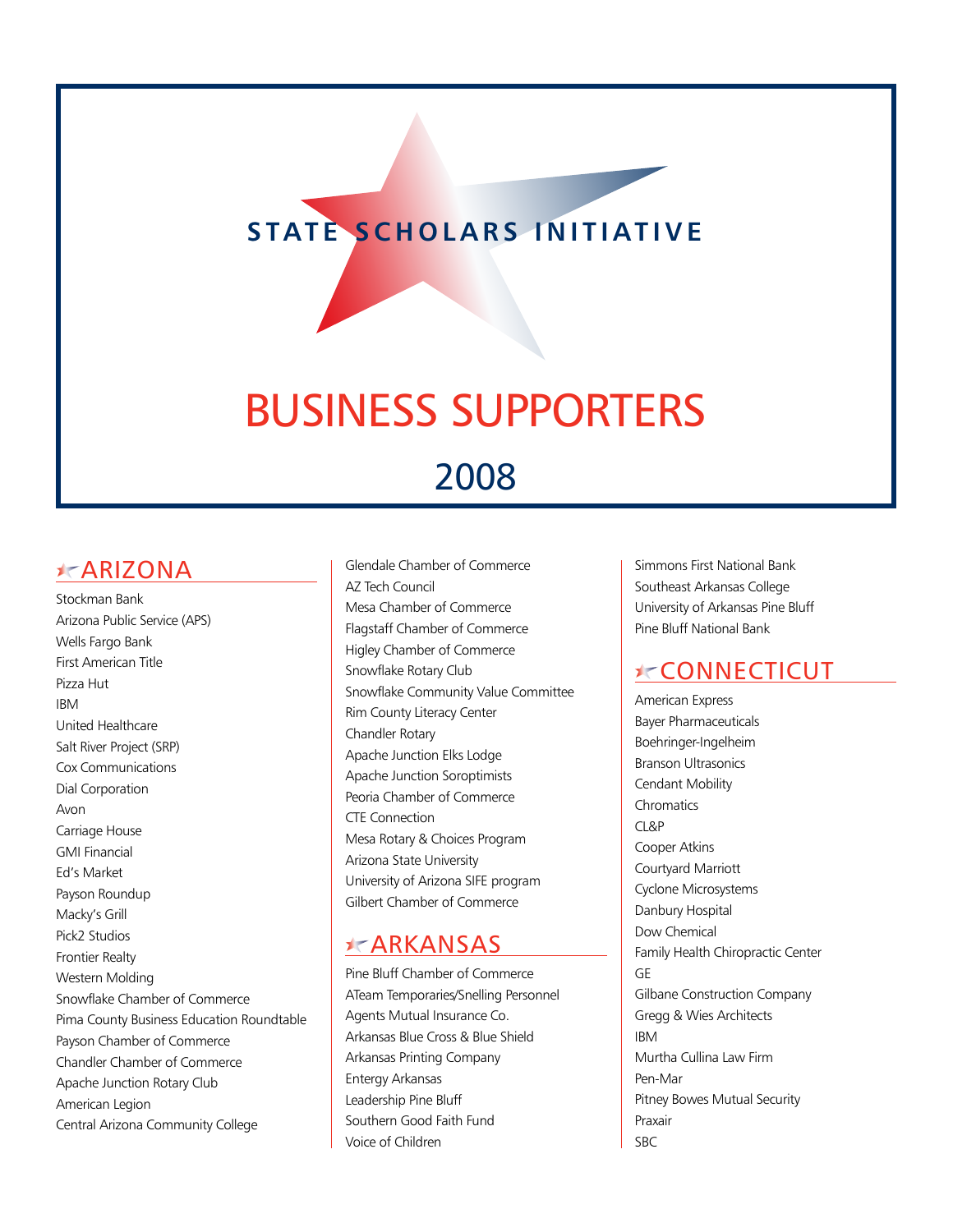# **STATE SCHOLARS INITIATIVE**

# BUSINESS SUPPORTERS 2008

#### **ARIZONA**

Stockman Bank Arizona Public Service (APS) Wells Fargo Bank First American Title Pizza Hut IBM United Healthcare Salt River Project (SRP) Cox Communications Dial Corporation Avon Carriage House GMI Financial Ed's Market Payson Roundup Macky's Grill Pick2 Studios Frontier Realty Western Molding Snowflake Chamber of Commerce Pima County Business Education Roundtable Payson Chamber of Commerce Chandler Chamber of Commerce Apache Junction Rotary Club American Legion Central Arizona Community College

Glendale Chamber of Commerce AZ Tech Council Mesa Chamber of Commerce Flagstaff Chamber of Commerce Higley Chamber of Commerce Snowflake Rotary Club Snowflake Community Value Committee Rim County Literacy Center Chandler Rotary Apache Junction Elks Lodge Apache Junction Soroptimists Peoria Chamber of Commerce CTE Connection Mesa Rotary & Choices Program Arizona State University University of Arizona SIFE program Gilbert Chamber of Commerce

#### **\*ARKANSAS**

Pine Bluff Chamber of Commerce ATeam Temporaries/Snelling Personnel Agents Mutual Insurance Co. Arkansas Blue Cross & Blue Shield Arkansas Printing Company Entergy Arkansas Leadership Pine Bluff Southern Good Faith Fund Voice of Children

Simmons First National Bank Southeast Arkansas College University of Arkansas Pine Bluff Pine Bluff National Bank

## **x<CONNECTICUT**

American Express Bayer Pharmaceuticals Boehringer-Ingelheim Branson Ultrasonics Cendant Mobility **Chromatics** CL&P Cooper Atkins Courtyard Marriott Cyclone Microsystems Danbury Hospital Dow Chemical Family Health Chiropractic Center GE Gilbane Construction Company Gregg & Wies Architects IBM Murtha Cullina Law Firm Pen-Mar Pitney Bowes Mutual Security Praxair SBC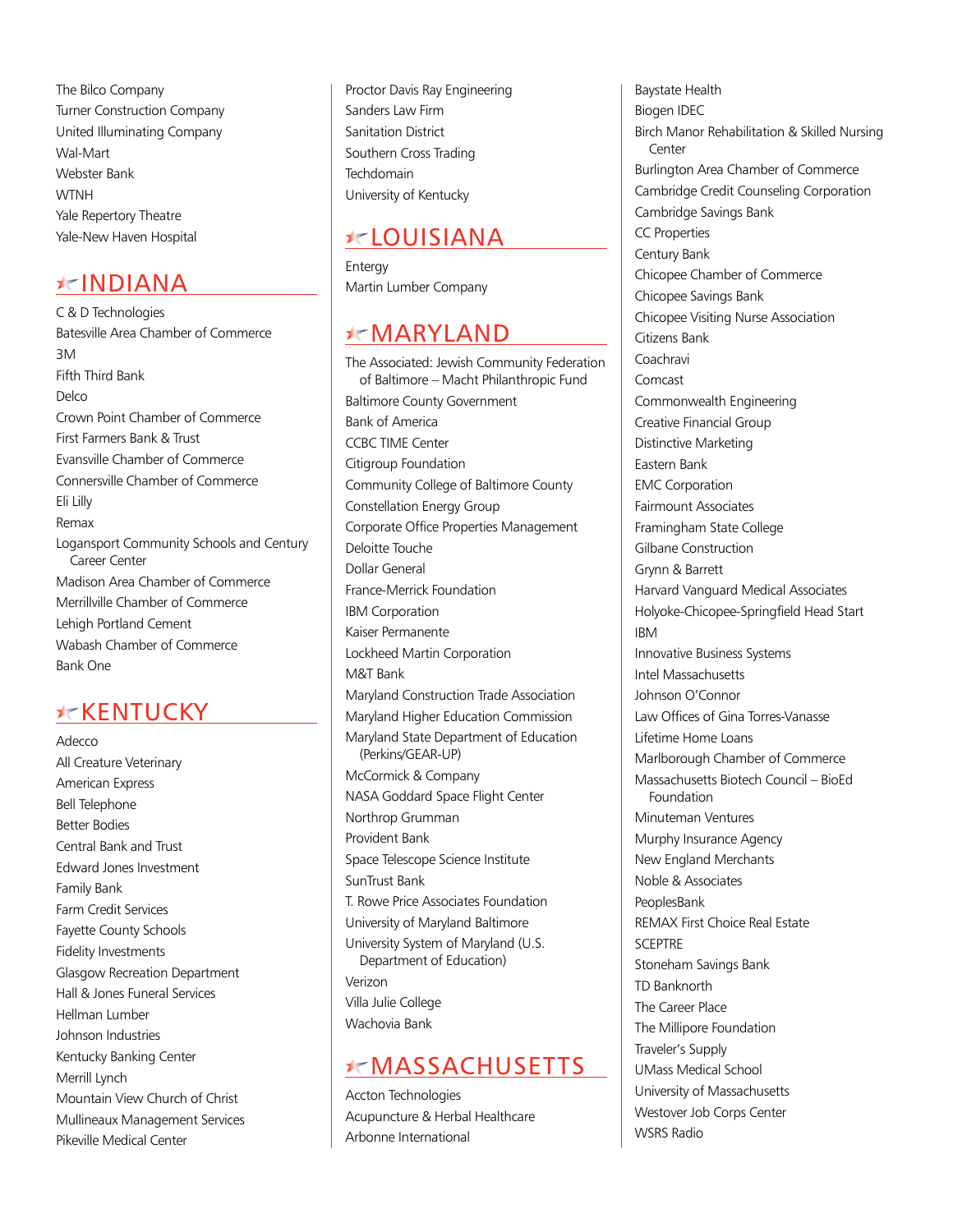The Bilco Company Turner Construction Company United Illuminating Company Wal-Mart Webster Bank **WTNH** Yale Repertory Theatre Yale-New Haven Hospital

#### **NDIANA**

C & D Technologies Batesville Area Chamber of Commerce 3M Fifth Third Bank Delco Crown Point Chamber of Commerce First Farmers Bank & Trust Evansville Chamber of Commerce Connersville Chamber of Commerce Eli Lilly Remax Logansport Community Schools and Century Career Center Madison Area Chamber of Commerce Merrillville Chamber of Commerce Lehigh Portland Cement Wabash Chamber of Commerce Bank One

## **KKENTUCKY**

Adecco All Creature Veterinary American Express Bell Telephone Better Bodies Central Bank and Trust Edward Jones Investment Family Bank Farm Credit Services Fayette County Schools Fidelity Investments Glasgow Recreation Department Hall & Jones Funeral Services Hellman Lumber Johnson Industries Kentucky Banking Center Merrill Lynch Mountain View Church of Christ Mullineaux Management Services Pikeville Medical Center

Proctor Davis Ray Engineering Sanders Law Firm Sanitation District Southern Cross Trading **Techdomain** University of Kentucky

#### Louisiana

Entergy Martin Lumber Company

### **\*MARYLAND**

The Associated: Jewish Community Federation of Baltimore – Macht Philanthropic Fund Baltimore County Government Bank of America CCBC TIME Center Citigroup Foundation Community College of Baltimore County Constellation Energy Group Corporate Office Properties Management Deloitte Touche Dollar General France-Merrick Foundation IBM Corporation Kaiser Permanente Lockheed Martin Corporation M&T Bank Maryland Construction Trade Association Maryland Higher Education Commission Maryland State Department of Education (Perkins/GEAR-UP) McCormick & Company NASA Goddard Space Flight Center Northrop Grumman Provident Bank Space Telescope Science Institute SunTrust Bank T. Rowe Price Associates Foundation University of Maryland Baltimore University System of Maryland (U.S. Department of Education) Verizon Villa Julie College Wachovia Bank

# **MASSACHUSETTS**

Accton Technologies Acupuncture & Herbal Healthcare Arbonne International

Baystate Health Biogen IDEC Birch Manor Rehabilitation & Skilled Nursing **Center** Burlington Area Chamber of Commerce Cambridge Credit Counseling Corporation Cambridge Savings Bank CC Properties Century Bank Chicopee Chamber of Commerce Chicopee Savings Bank Chicopee Visiting Nurse Association Citizens Bank Coachravi Comcast Commonwealth Engineering Creative Financial Group Distinctive Marketing Eastern Bank EMC Corporation Fairmount Associates Framingham State College Gilbane Construction Grynn & Barrett Harvard Vanguard Medical Associates Holyoke-Chicopee-Springfield Head Start IBM Innovative Business Systems Intel Massachusetts Johnson O'Connor Law Offices of Gina Torres-Vanasse Lifetime Home Loans Marlborough Chamber of Commerce Massachusetts Biotech Council – BioEd Foundation Minuteman Ventures Murphy Insurance Agency New England Merchants Noble & Associates PeoplesBank REMAX First Choice Real Estate **SCEPTRE** Stoneham Savings Bank TD Banknorth The Career Place The Millipore Foundation Traveler's Supply UMass Medical School University of Massachusetts Westover Job Corps Center WSRS Radio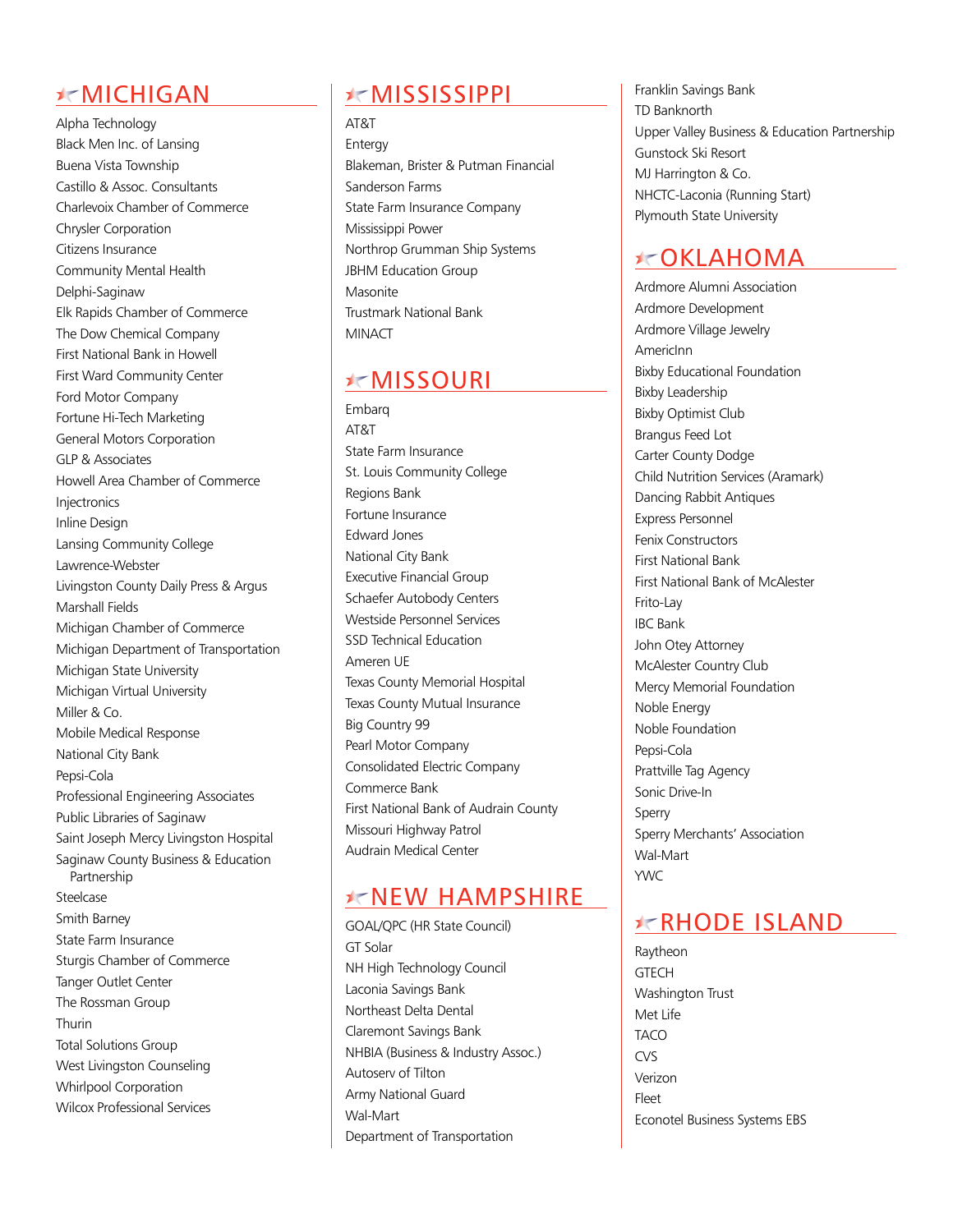# MICHIGAN

Alpha Technology Black Men Inc. of Lansing Buena Vista Township Castillo & Assoc. Consultants Charlevoix Chamber of Commerce Chrysler Corporation Citizens Insurance Community Mental Health Delphi-Saginaw Elk Rapids Chamber of Commerce The Dow Chemical Company First National Bank in Howell First Ward Community Center Ford Motor Company Fortune Hi-Tech Marketing General Motors Corporation GLP & Associates Howell Area Chamber of Commerce Injectronics Inline Design Lansing Community College Lawrence-Webster Livingston County Daily Press & Argus Marshall Fields Michigan Chamber of Commerce Michigan Department of Transportation Michigan State University Michigan Virtual University Miller & Co. Mobile Medical Response National City Bank Pepsi-Cola Professional Engineering Associates Public Libraries of Saginaw Saint Joseph Mercy Livingston Hospital Saginaw County Business & Education Partnership Steelcase Smith Barney State Farm Insurance Sturgis Chamber of Commerce Tanger Outlet Center The Rossman Group Thurin Total Solutions Group West Livingston Counseling Whirlpool Corporation Wilcox Professional Services

## Mississippi

AT&T

Entergy Blakeman, Brister & Putman Financial Sanderson Farms State Farm Insurance Company Mississippi Power Northrop Grumman Ship Systems JBHM Education Group Masonite Trustmark National Bank **MINACT** 

## Missouri

Embarq AT&T State Farm Insurance St. Louis Community College Regions Bank Fortune Insurance Edward Jones National City Bank Executive Financial Group Schaefer Autobody Centers Westside Personnel Services SSD Technical Education Ameren UE Texas County Memorial Hospital Texas County Mutual Insurance Big Country 99 Pearl Motor Company Consolidated Electric Company Commerce Bank First National Bank of Audrain County Missouri Highway Patrol Audrain Medical Center

## **X-NEW HAMPSHIRE**

GOAL/QPC (HR State Council) GT Solar NH High Technology Council Laconia Savings Bank Northeast Delta Dental Claremont Savings Bank NHBIA (Business & Industry Assoc.) Autoserv of Tilton Army National Guard Wal-Mart Department of Transportation

Franklin Savings Bank TD Banknorth Upper Valley Business & Education Partnership Gunstock Ski Resort MJ Harrington & Co. NHCTC-Laconia (Running Start) Plymouth State University

#### Oklahoma

Ardmore Alumni Association Ardmore Development Ardmore Village Jewelry AmericInn Bixby Educational Foundation Bixby Leadership Bixby Optimist Club Brangus Feed Lot Carter County Dodge Child Nutrition Services (Aramark) Dancing Rabbit Antiques Express Personnel Fenix Constructors First National Bank First National Bank of McAlester Frito-Lay IBC Bank John Otey Attorney McAlester Country Club Mercy Memorial Foundation Noble Energy Noble Foundation Pepsi-Cola Prattville Tag Agency Sonic Drive-In Sperry Sperry Merchants' Association Wal-Mart YWC

## **ERHODE ISLAND**

Raytheon **GTECH** Washington Trust Met Life **TACO** CVS Verizon Fleet Econotel Business Systems EBS